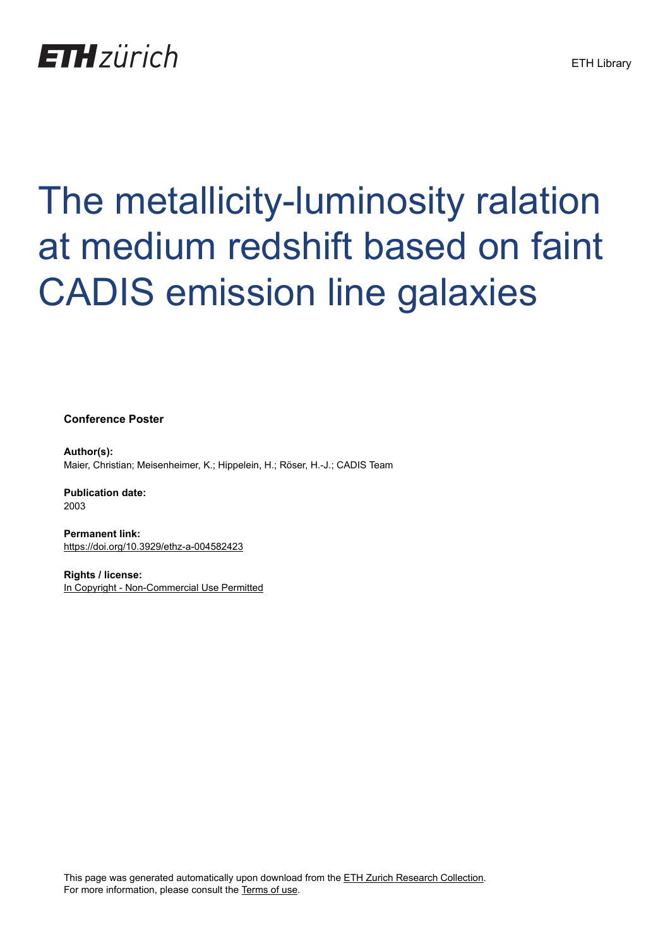## **ETH**zürich

## The metallicity-luminosity ralation at medium redshift based on faint CADIS emission line galaxies

**Conference Poster**

**Author(s):** Maier, Christian; Meisenheimer, K.; Hippelein, H.; Röser, H.-J.; CADIS Team

**Publication date:** 2003

**Permanent link:** <https://doi.org/10.3929/ethz-a-004582423>

**Rights / license:** [In Copyright - Non-Commercial Use Permitted](http://rightsstatements.org/page/InC-NC/1.0/)